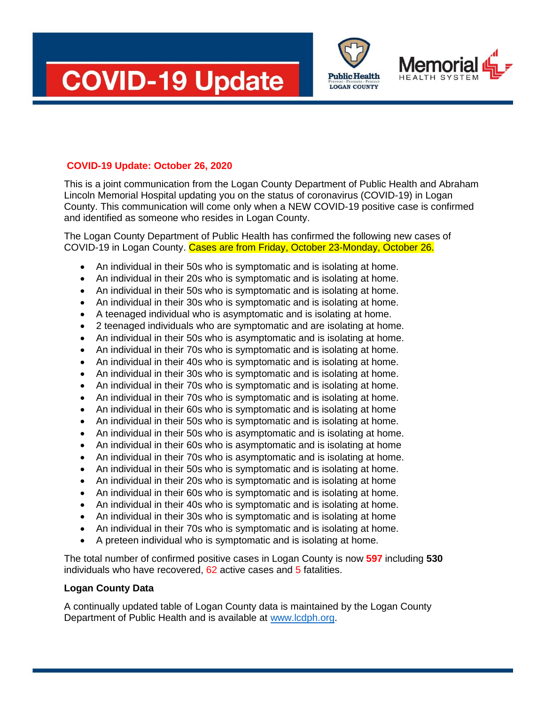





## **COVID-19 Update: October 26, 2020**

This is a joint communication from the Logan County Department of Public Health and Abraham Lincoln Memorial Hospital updating you on the status of coronavirus (COVID-19) in Logan County. This communication will come only when a NEW COVID-19 positive case is confirmed and identified as someone who resides in Logan County.

The Logan County Department of Public Health has confirmed the following new cases of COVID-19 in Logan County. Cases are from Friday, October 23-Monday, October 26.

- An individual in their 50s who is symptomatic and is isolating at home.
- An individual in their 20s who is symptomatic and is isolating at home.
- An individual in their 50s who is symptomatic and is isolating at home.
- An individual in their 30s who is symptomatic and is isolating at home.
- A teenaged individual who is asymptomatic and is isolating at home.
- 2 teenaged individuals who are symptomatic and are isolating at home.
- An individual in their 50s who is asymptomatic and is isolating at home.
- An individual in their 70s who is symptomatic and is isolating at home.
- An individual in their 40s who is symptomatic and is isolating at home.
- An individual in their 30s who is symptomatic and is isolating at home.
- An individual in their 70s who is symptomatic and is isolating at home.
- An individual in their 70s who is symptomatic and is isolating at home.
- An individual in their 60s who is symptomatic and is isolating at home
- An individual in their 50s who is symptomatic and is isolating at home.
- An individual in their 50s who is asymptomatic and is isolating at home.
- An individual in their 60s who is asymptomatic and is isolating at home
- An individual in their 70s who is asymptomatic and is isolating at home.
- An individual in their 50s who is symptomatic and is isolating at home.
- An individual in their 20s who is symptomatic and is isolating at home
- An individual in their 60s who is symptomatic and is isolating at home.
- An individual in their 40s who is symptomatic and is isolating at home.
- An individual in their 30s who is symptomatic and is isolating at home
- An individual in their 70s who is symptomatic and is isolating at home.
- A preteen individual who is symptomatic and is isolating at home.

The total number of confirmed positive cases in Logan County is now **597** including **530** individuals who have recovered, 62 active cases and 5 fatalities.

### **Logan County Data**

A continually updated table of Logan County data is maintained by the Logan County Department of Public Health and is available at [www.lcdph.org.](http://www.lcdph.org/)